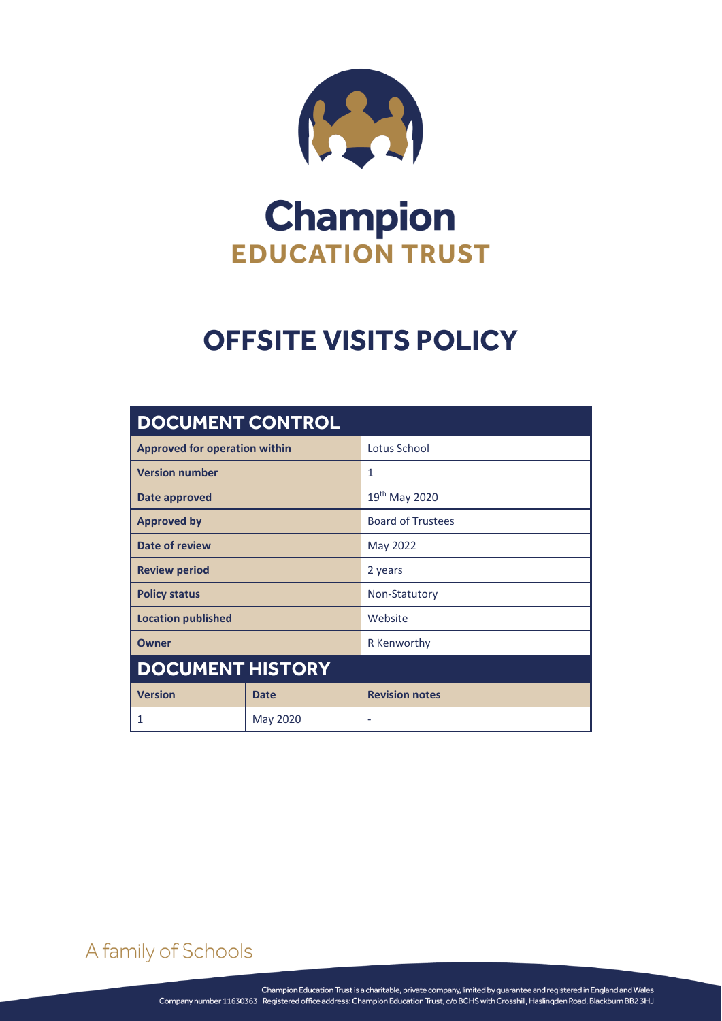

# **Champion EDUCATION TRUST**

## **OFFSITE VISITS POLICY**

| <b>DOCUMENT CONTROL</b>              |             |                          |
|--------------------------------------|-------------|--------------------------|
| <b>Approved for operation within</b> |             | Lotus School             |
| <b>Version number</b>                |             | 1                        |
| Date approved                        |             | 19th May 2020            |
| <b>Approved by</b>                   |             | <b>Board of Trustees</b> |
| Date of review                       |             | May 2022                 |
| <b>Review period</b>                 |             | 2 years                  |
| <b>Policy status</b>                 |             | Non-Statutory            |
| <b>Location published</b>            |             | Website                  |
| Owner                                |             | R Kenworthy              |
| <b>DOCUMENT HISTORY</b>              |             |                          |
| <b>Version</b>                       | <b>Date</b> | <b>Revision notes</b>    |
| $\mathbf{1}$                         | May 2020    | ٠                        |

A family of Schools

OFFSITE VISITS POLICY Page **0** of **3**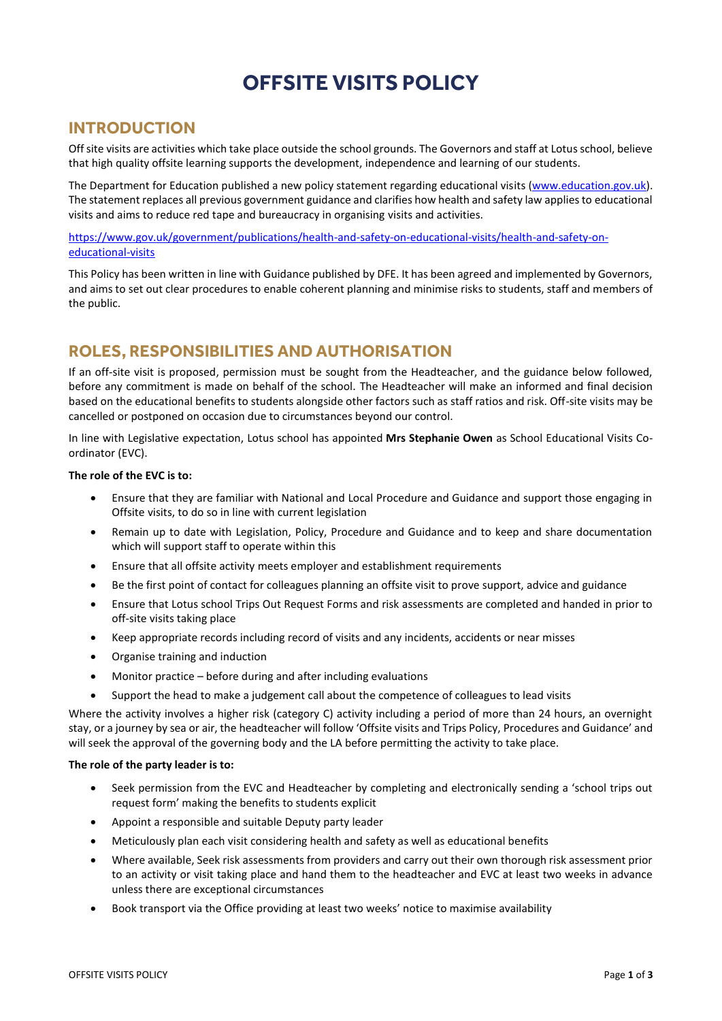## **OFFSITE VISITS POLICY**

### **INTRODUCTION**

Off site visits are activities which take place outside the school grounds. The Governors and staff at Lotus school, believe that high quality offsite learning supports the development, independence and learning of our students.

The Department for Education published a new policy statement regarding educational visits [\(www.education.gov.uk\)](http://www.education.gov.uk/). The statement replaces all previous government guidance and clarifies how health and safety law applies to educational visits and aims to reduce red tape and bureaucracy in organising visits and activities.

[https://www.gov.uk/government/publications/health-and-safety-on-educational-visits/health-and-safety-on](https://www.gov.uk/government/publications/health-and-safety-on-educational-visits/health-and-safety-on-educational-visits)[educational-visits](https://www.gov.uk/government/publications/health-and-safety-on-educational-visits/health-and-safety-on-educational-visits)

This Policy has been written in line with Guidance published by DFE. It has been agreed and implemented by Governors, and aims to set out clear procedures to enable coherent planning and minimise risks to students, staff and members of the public.

## **ROLES, RESPONSIBILITIES AND AUTHORISATION**

If an off-site visit is proposed, permission must be sought from the Headteacher, and the guidance below followed, before any commitment is made on behalf of the school. The Headteacher will make an informed and final decision based on the educational benefits to students alongside other factors such as staff ratios and risk. Off-site visits may be cancelled or postponed on occasion due to circumstances beyond our control.

In line with Legislative expectation, Lotus school has appointed **Mrs Stephanie Owen** as School Educational Visits Coordinator (EVC).

#### **The role of the EVC is to:**

- Ensure that they are familiar with National and Local Procedure and Guidance and support those engaging in Offsite visits, to do so in line with current legislation
- Remain up to date with Legislation, Policy, Procedure and Guidance and to keep and share documentation which will support staff to operate within this
- Ensure that all offsite activity meets employer and establishment requirements
- Be the first point of contact for colleagues planning an offsite visit to prove support, advice and guidance
- Ensure that Lotus school Trips Out Request Forms and risk assessments are completed and handed in prior to off-site visits taking place
- Keep appropriate records including record of visits and any incidents, accidents or near misses
- Organise training and induction
- Monitor practice before during and after including evaluations
- Support the head to make a judgement call about the competence of colleagues to lead visits

Where the activity involves a higher risk (category C) activity including a period of more than 24 hours, an overnight stay, or a journey by sea or air, the headteacher will follow 'Offsite visits and Trips Policy, Procedures and Guidance' and will seek the approval of the governing body and the LA before permitting the activity to take place.

#### **The role of the party leader is to:**

- Seek permission from the EVC and Headteacher by completing and electronically sending a 'school trips out request form' making the benefits to students explicit
- Appoint a responsible and suitable Deputy party leader
- Meticulously plan each visit considering health and safety as well as educational benefits
- Where available, Seek risk assessments from providers and carry out their own thorough risk assessment prior to an activity or visit taking place and hand them to the headteacher and EVC at least two weeks in advance unless there are exceptional circumstances
- Book transport via the Office providing at least two weeks' notice to maximise availability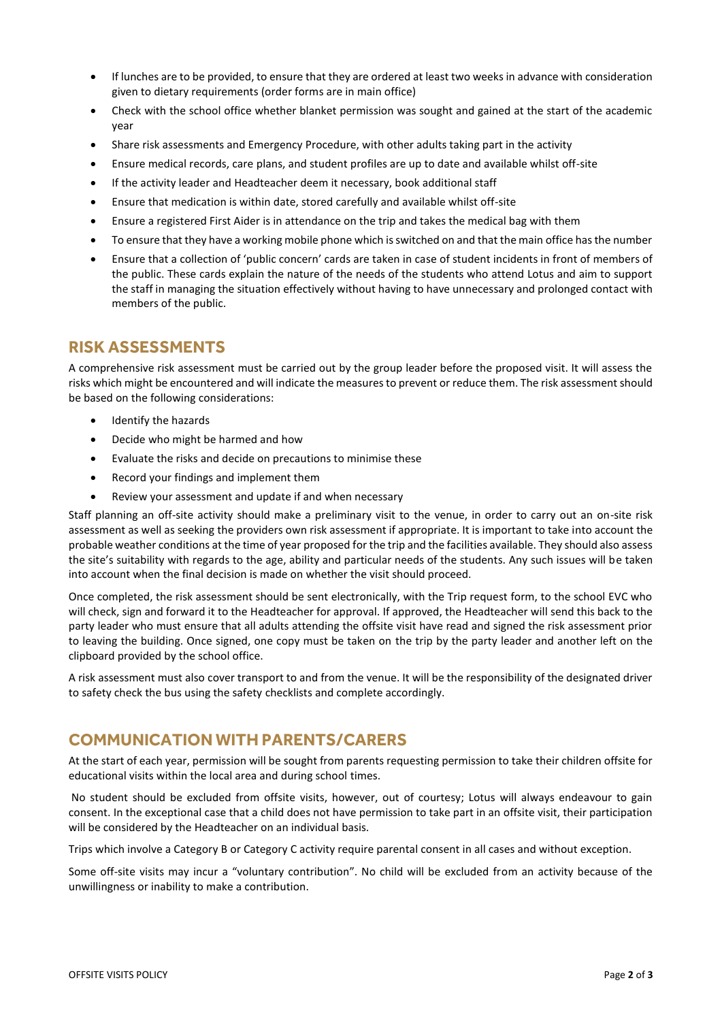- If lunches are to be provided, to ensure that they are ordered at least two weeks in advance with consideration given to dietary requirements (order forms are in main office)
- Check with the school office whether blanket permission was sought and gained at the start of the academic year
- Share risk assessments and Emergency Procedure, with other adults taking part in the activity
- Ensure medical records, care plans, and student profiles are up to date and available whilst off-site
- If the activity leader and Headteacher deem it necessary, book additional staff
- Ensure that medication is within date, stored carefully and available whilst off-site
- Ensure a registered First Aider is in attendance on the trip and takes the medical bag with them
- To ensure that they have a working mobile phone which is switched on and that the main office has the number
- Ensure that a collection of 'public concern' cards are taken in case of student incidents in front of members of the public. These cards explain the nature of the needs of the students who attend Lotus and aim to support the staff in managing the situation effectively without having to have unnecessary and prolonged contact with members of the public.

## **RISK ASSESSMENTS**

A comprehensive risk assessment must be carried out by the group leader before the proposed visit. It will assess the risks which might be encountered and will indicate the measures to prevent or reduce them. The risk assessment should be based on the following considerations:

- Identify the hazards
- Decide who might be harmed and how
- Evaluate the risks and decide on precautions to minimise these
- Record your findings and implement them
- Review your assessment and update if and when necessary

Staff planning an off-site activity should make a preliminary visit to the venue, in order to carry out an on-site risk assessment as well as seeking the providers own risk assessment if appropriate. It is important to take into account the probable weather conditions at the time of year proposed for the trip and the facilities available. They should also assess the site's suitability with regards to the age, ability and particular needs of the students. Any such issues will be taken into account when the final decision is made on whether the visit should proceed.

Once completed, the risk assessment should be sent electronically, with the Trip request form, to the school EVC who will check, sign and forward it to the Headteacher for approval. If approved, the Headteacher will send this back to the party leader who must ensure that all adults attending the offsite visit have read and signed the risk assessment prior to leaving the building. Once signed, one copy must be taken on the trip by the party leader and another left on the clipboard provided by the school office.

A risk assessment must also cover transport to and from the venue. It will be the responsibility of the designated driver to safety check the bus using the safety checklists and complete accordingly.

## **COMMUNICATION WITH PARENTS/CARERS**

At the start of each year, permission will be sought from parents requesting permission to take their children offsite for educational visits within the local area and during school times.

No student should be excluded from offsite visits, however, out of courtesy; Lotus will always endeavour to gain consent. In the exceptional case that a child does not have permission to take part in an offsite visit, their participation will be considered by the Headteacher on an individual basis.

Trips which involve a Category B or Category C activity require parental consent in all cases and without exception.

Some off-site visits may incur a "voluntary contribution". No child will be excluded from an activity because of the unwillingness or inability to make a contribution.